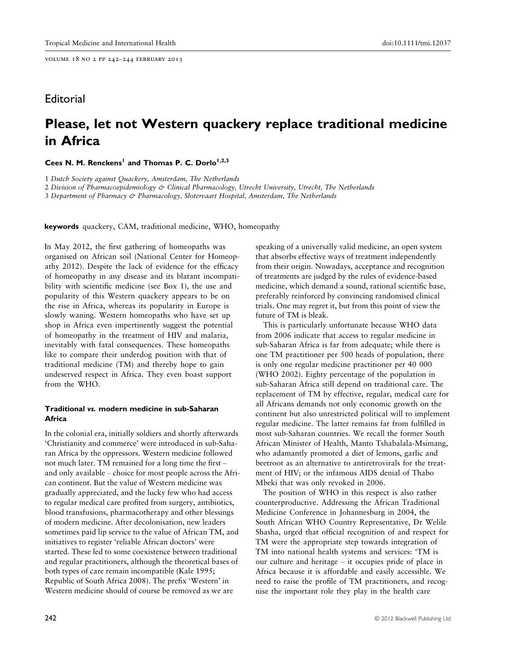volume 18 no 2 pp 242–244 february 2013

# **Editorial**

# Please, let not Western quackery replace traditional medicine in Africa

Cees N. M. Renckens<sup>1</sup> and Thomas P. C. Dorlo<sup>1,2,3</sup>

1 Dutch Society against Quackery, Amsterdam, The Netherlands

2 Division of Pharmacoepidemiology & Clinical Pharmacology, Utrecht University, Utrecht, The Netherlands

3 Department of Pharmacy & Pharmacology, Slotervaart Hospital, Amsterdam, The Netherlands

keywords quackery, CAM, traditional medicine, WHO, homeopathy

In May 2012, the first gathering of homeopaths was organised on African soil (National Center for Homeopathy 2012). Despite the lack of evidence for the efficacy of homeopathy in any disease and its blatant incompatibility with scientific medicine (see Box 1), the use and popularity of this Western quackery appears to be on the rise in Africa, whereas its popularity in Europe is slowly waning. Western homeopaths who have set up shop in Africa even impertinently suggest the potential of homeopathy in the treatment of HIV and malaria, inevitably with fatal consequences. These homeopaths like to compare their underdog position with that of traditional medicine (TM) and thereby hope to gain undeserved respect in Africa. They even boast support from the WHO.

## Traditional vs. modern medicine in sub-Saharan Africa

In the colonial era, initially soldiers and shortly afterwards 'Christianity and commerce' were introduced in sub-Saharan Africa by the oppressors. Western medicine followed not much later. TM remained for a long time the first – and only available – choice for most people across the African continent. But the value of Western medicine was gradually appreciated, and the lucky few who had access to regular medical care profited from surgery, antibiotics, blood transfusions, pharmacotherapy and other blessings of modern medicine. After decolonisation, new leaders sometimes paid lip service to the value of African TM, and initiatives to register 'reliable African doctors' were started. These led to some coexistence between traditional and regular practitioners, although the theoretical bases of both types of care remain incompatible (Kale 1995; Republic of South Africa 2008). The prefix 'Western' in Western medicine should of course be removed as we are

speaking of a universally valid medicine, an open system that absorbs effective ways of treatment independently from their origin. Nowadays, acceptance and recognition of treatments are judged by the rules of evidence-based medicine, which demand a sound, rational scientific base, preferably reinforced by convincing randomised clinical trials. One may regret it, but from this point of view the future of TM is bleak.

This is particularly unfortunate because WHO data from 2006 indicate that access to regular medicine in sub-Saharan Africa is far from adequate; while there is one TM practitioner per 500 heads of population, there is only one regular medicine practitioner per 40 000 (WHO 2002). Eighty percentage of the population in sub-Saharan Africa still depend on traditional care. The replacement of TM by effective, regular, medical care for all Africans demands not only economic growth on the continent but also unrestricted political will to implement regular medicine. The latter remains far from fulfilled in most sub-Saharan countries. We recall the former South African Minister of Health, Manto Tshabalala-Msimang, who adamantly promoted a diet of lemons, garlic and beetroot as an alternative to antiretrovirals for the treatment of HIV; or the infamous AIDS denial of Thabo Mbeki that was only revoked in 2006.

The position of WHO in this respect is also rather counterproductive. Addressing the African Traditional Medicine Conference in Johannesburg in 2004, the South African WHO Country Representative, Dr Welile Shasha, urged that official recognition of and respect for TM were the appropriate step towards integration of TM into national health systems and services: 'TM is our culture and heritage – it occupies pride of place in Africa because it is affordable and easily accessible. We need to raise the profile of TM practitioners, and recognise the important role they play in the health care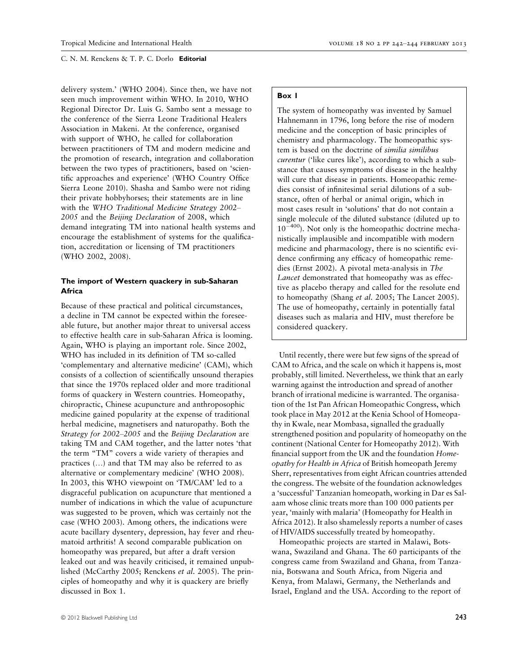delivery system.' (WHO 2004). Since then, we have not seen much improvement within WHO. In 2010, WHO Regional Director Dr. Luis G. Sambo sent a message to the conference of the Sierra Leone Traditional Healers Association in Makeni. At the conference, organised with support of WHO, he called for collaboration between practitioners of TM and modern medicine and the promotion of research, integration and collaboration between the two types of practitioners, based on 'scientific approaches and experience' (WHO Country Office Sierra Leone 2010). Shasha and Sambo were not riding their private hobbyhorses; their statements are in line with the WHO Traditional Medicine Strategy 2002– 2005 and the Beijing Declaration of 2008, which demand integrating TM into national health systems and encourage the establishment of systems for the qualification, accreditation or licensing of TM practitioners (WHO 2002, 2008).

### The import of Western quackery in sub-Saharan Africa

Because of these practical and political circumstances, a decline in TM cannot be expected within the foreseeable future, but another major threat to universal access to effective health care in sub-Saharan Africa is looming. Again, WHO is playing an important role. Since 2002, WHO has included in its definition of TM so-called 'complementary and alternative medicine' (CAM), which consists of a collection of scientifically unsound therapies that since the 1970s replaced older and more traditional forms of quackery in Western countries. Homeopathy, chiropractic, Chinese acupuncture and anthroposophic medicine gained popularity at the expense of traditional herbal medicine, magnetisers and naturopathy. Both the Strategy for 2002–2005 and the Beijing Declaration are taking TM and CAM together, and the latter notes 'that the term "TM" covers a wide variety of therapies and practices (…) and that TM may also be referred to as alternative or complementary medicine' (WHO 2008). In 2003, this WHO viewpoint on 'TM/CAM' led to a disgraceful publication on acupuncture that mentioned a number of indications in which the value of acupuncture was suggested to be proven, which was certainly not the case (WHO 2003). Among others, the indications were acute bacillary dysentery, depression, hay fever and rheumatoid arthritis! A second comparable publication on homeopathy was prepared, but after a draft version leaked out and was heavily criticised, it remained unpublished (McCarthy 2005; Renckens et al. 2005). The principles of homeopathy and why it is quackery are briefly discussed in Box 1.

### Box 1

The system of homeopathy was invented by Samuel Hahnemann in 1796, long before the rise of modern medicine and the conception of basic principles of chemistry and pharmacology. The homeopathic system is based on the doctrine of similia similibus curentur ('like cures like'), according to which a substance that causes symptoms of disease in the healthy will cure that disease in patients. Homeopathic remedies consist of infinitesimal serial dilutions of a substance, often of herbal or animal origin, which in most cases result in 'solutions' that do not contain a single molecule of the diluted substance (diluted up to  $10^{-400}$ ). Not only is the homeopathic doctrine mechanistically implausible and incompatible with modern medicine and pharmacology, there is no scientific evidence confirming any efficacy of homeopathic remedies (Ernst 2002). A pivotal meta-analysis in The Lancet demonstrated that homeopathy was as effective as placebo therapy and called for the resolute end to homeopathy (Shang et al. 2005; The Lancet 2005). The use of homeopathy, certainly in potentially fatal diseases such as malaria and HIV, must therefore be considered quackery.

Until recently, there were but few signs of the spread of CAM to Africa, and the scale on which it happens is, most probably, still limited. Nevertheless, we think that an early warning against the introduction and spread of another branch of irrational medicine is warranted. The organisation of the 1st Pan African Homeopathic Congress, which took place in May 2012 at the Kenia School of Homeopathy in Kwale, near Mombasa, signalled the gradually strengthened position and popularity of homeopathy on the continent (National Center for Homeopathy 2012). With financial support from the UK and the foundation Homeopathy for Health in Africa of British homeopath Jeremy Sherr, representatives from eight African countries attended the congress. The website of the foundation acknowledges a 'successful' Tanzanian homeopath, working in Dar es Salaam whose clinic treats more than 100 000 patients per year, 'mainly with malaria' (Homeopathy for Health in Africa 2012). It also shamelessly reports a number of cases of HIV/AIDS successfully treated by homeopathy.

Homeopathic projects are started in Malawi, Botswana, Swaziland and Ghana. The 60 participants of the congress came from Swaziland and Ghana, from Tanzania, Botswana and South Africa, from Nigeria and Kenya, from Malawi, Germany, the Netherlands and Israel, England and the USA. According to the report of